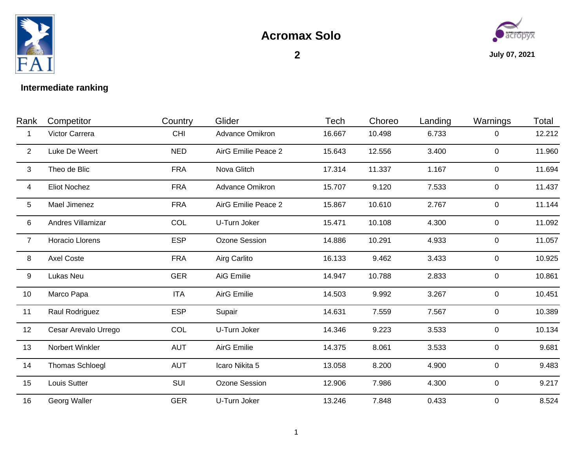



## **Intermediate ranking**

| Rank            | Competitor           | Country    | Glider                 | Tech   | Choreo | Landing | Warnings       | Total  |
|-----------------|----------------------|------------|------------------------|--------|--------|---------|----------------|--------|
| 1               | Victor Carrera       | <b>CHI</b> | <b>Advance Omikron</b> | 16.667 | 10.498 | 6.733   | 0              | 12.212 |
| $\overline{2}$  | Luke De Weert        | <b>NED</b> | AirG Emilie Peace 2    | 15.643 | 12.556 | 3.400   | $\overline{0}$ | 11.960 |
| 3               | Theo de Blic         | <b>FRA</b> | Nova Glitch            | 17.314 | 11.337 | 1.167   | 0              | 11.694 |
| 4               | <b>Eliot Nochez</b>  | <b>FRA</b> | <b>Advance Omikron</b> | 15.707 | 9.120  | 7.533   | 0              | 11.437 |
| $5\phantom{.0}$ | Mael Jimenez         | <b>FRA</b> | AirG Emilie Peace 2    | 15.867 | 10.610 | 2.767   | 0              | 11.144 |
| 6               | Andres Villamizar    | COL        | U-Turn Joker           | 15.471 | 10.108 | 4.300   | 0              | 11.092 |
| $\overline{7}$  | Horacio Llorens      | <b>ESP</b> | Ozone Session          | 14.886 | 10.291 | 4.933   | $\mathbf 0$    | 11.057 |
| 8               | <b>Axel Coste</b>    | <b>FRA</b> | Airg Carlito           | 16.133 | 9.462  | 3.433   | $\mathbf 0$    | 10.925 |
| 9               | Lukas Neu            | <b>GER</b> | AiG Emilie             | 14.947 | 10.788 | 2.833   | $\overline{0}$ | 10.861 |
| 10              | Marco Papa           | <b>ITA</b> | AirG Emilie            | 14.503 | 9.992  | 3.267   | $\mathbf 0$    | 10.451 |
| 11              | Raul Rodriguez       | <b>ESP</b> | Supair                 | 14.631 | 7.559  | 7.567   | 0              | 10.389 |
| 12              | Cesar Arevalo Urrego | COL        | U-Turn Joker           | 14.346 | 9.223  | 3.533   | 0              | 10.134 |
| 13              | Norbert Winkler      | <b>AUT</b> | <b>AirG Emilie</b>     | 14.375 | 8.061  | 3.533   | $\overline{0}$ | 9.681  |
| 14              | Thomas Schloegl      | <b>AUT</b> | Icaro Nikita 5         | 13.058 | 8.200  | 4.900   | 0              | 9.483  |
| 15              | Louis Sutter         | SUI        | Ozone Session          | 12.906 | 7.986  | 4.300   | $\mathbf 0$    | 9.217  |
| 16              | Georg Waller         | <b>GER</b> | U-Turn Joker           | 13.246 | 7.848  | 0.433   | $\mathbf 0$    | 8.524  |